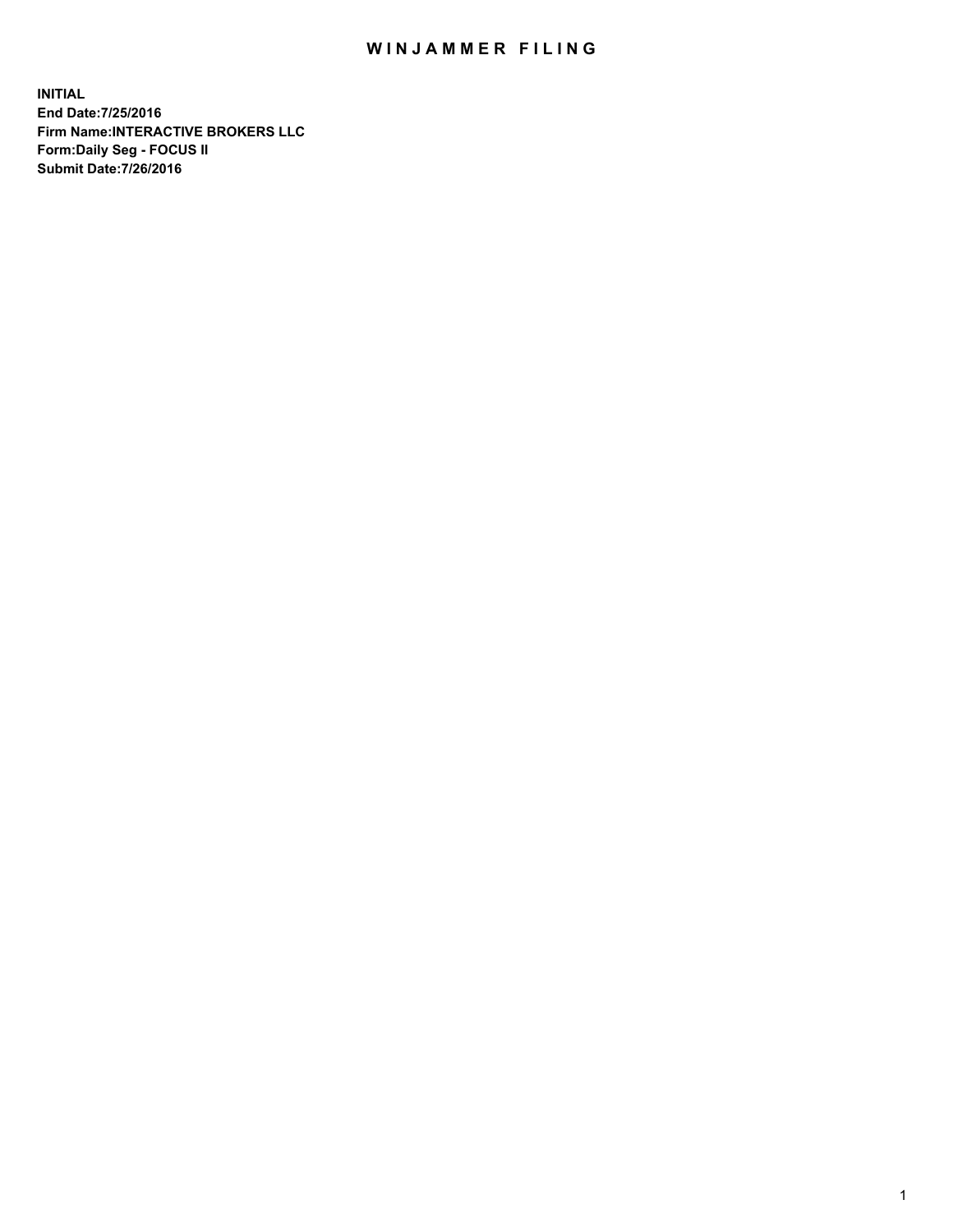## WIN JAMMER FILING

**INITIAL End Date:7/25/2016 Firm Name:INTERACTIVE BROKERS LLC Form:Daily Seg - FOCUS II Submit Date:7/26/2016**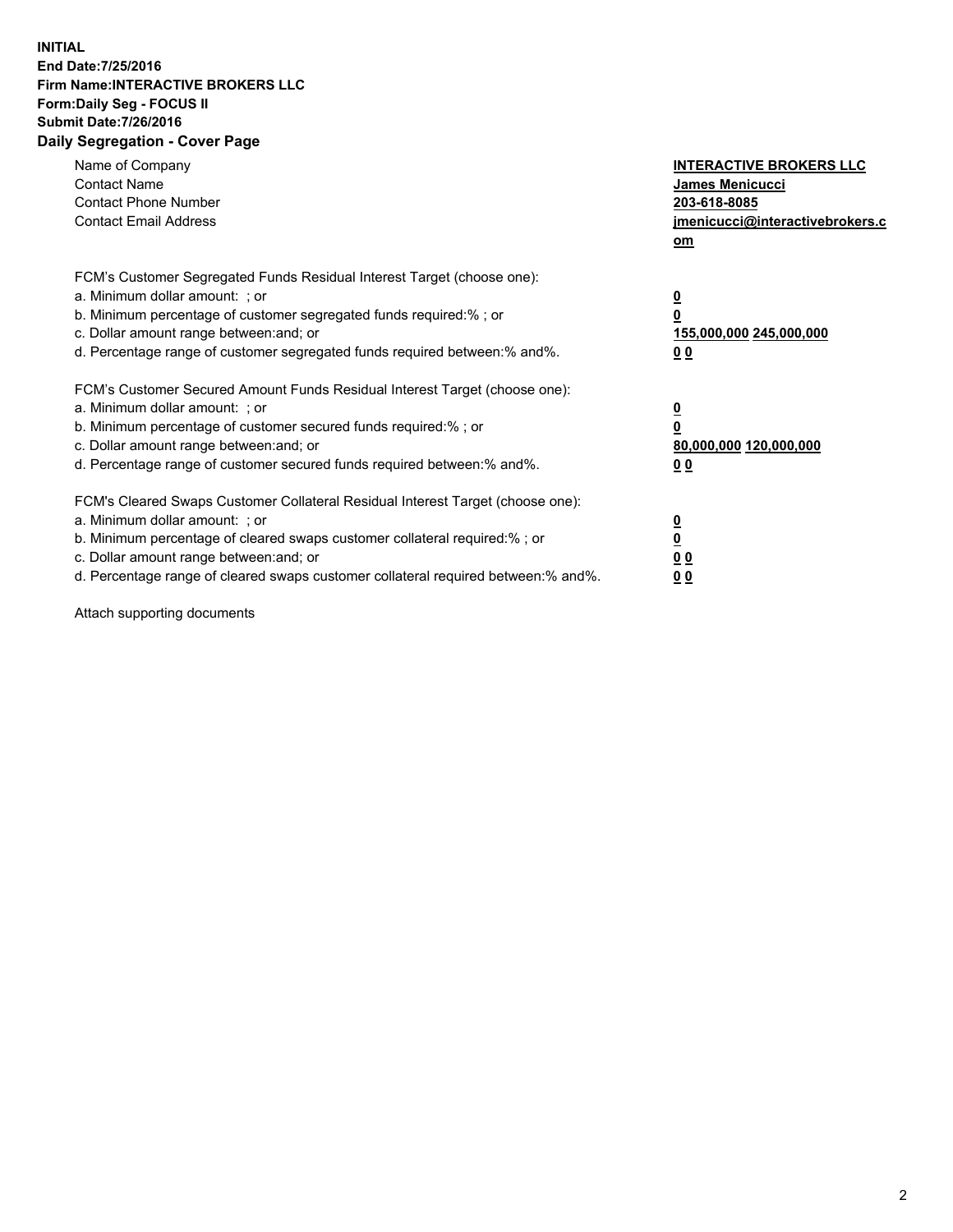## **INITIAL End Date:7/25/2016 Firm Name:INTERACTIVE BROKERS LLC Form:Daily Seg - FOCUS II Submit Date:7/26/2016 Daily Segregation - Cover Page**

| Name of Company<br><b>Contact Name</b><br><b>Contact Phone Number</b><br><b>Contact Email Address</b>                                                                                                                                                                                                                          | <b>INTERACTIVE BROKERS LLC</b><br>James Menicucci<br>203-618-8085<br><u>jmenicucci@interactivebrokers.c</u><br>om |
|--------------------------------------------------------------------------------------------------------------------------------------------------------------------------------------------------------------------------------------------------------------------------------------------------------------------------------|-------------------------------------------------------------------------------------------------------------------|
| FCM's Customer Segregated Funds Residual Interest Target (choose one):<br>a. Minimum dollar amount: ; or<br>b. Minimum percentage of customer segregated funds required:%; or<br>c. Dollar amount range between: and; or<br>d. Percentage range of customer segregated funds required between:% and%.                          | $\overline{\mathbf{0}}$<br>0<br>155,000,000 245,000,000<br>0 <sub>0</sub>                                         |
| FCM's Customer Secured Amount Funds Residual Interest Target (choose one):<br>a. Minimum dollar amount: ; or<br>b. Minimum percentage of customer secured funds required:%; or<br>c. Dollar amount range between: and; or<br>d. Percentage range of customer secured funds required between:% and%.                            | $\overline{\mathbf{0}}$<br>$\overline{\mathbf{0}}$<br>80,000,000 120,000,000<br>00                                |
| FCM's Cleared Swaps Customer Collateral Residual Interest Target (choose one):<br>a. Minimum dollar amount: ; or<br>b. Minimum percentage of cleared swaps customer collateral required:% ; or<br>c. Dollar amount range between: and; or<br>d. Percentage range of cleared swaps customer collateral required between:% and%. | $\overline{\mathbf{0}}$<br>$\overline{\mathbf{0}}$<br>0 <sub>0</sub><br><u>00</u>                                 |

Attach supporting documents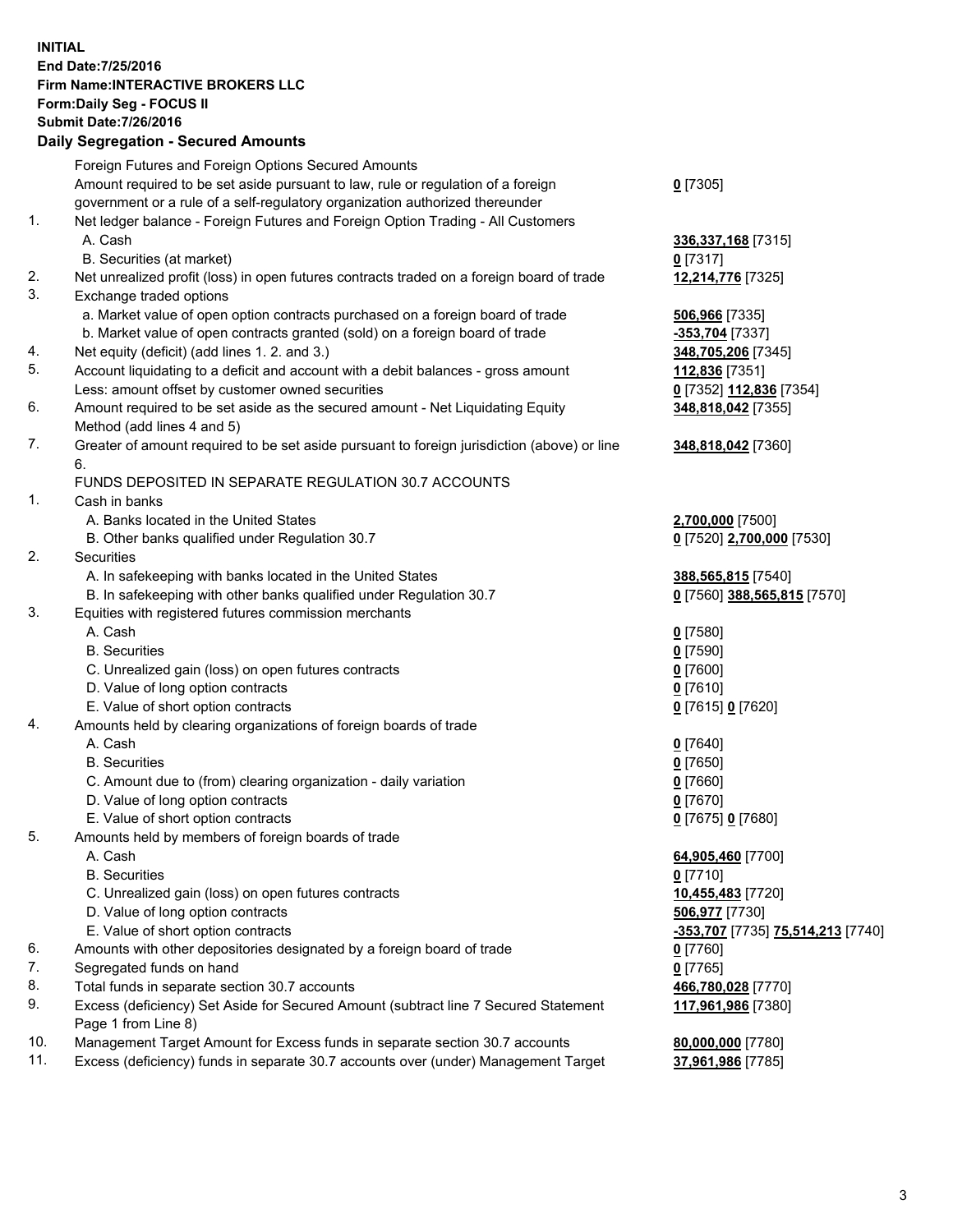## **INITIAL End Date:7/25/2016 Firm Name:INTERACTIVE BROKERS LLC Form:Daily Seg - FOCUS II Submit Date:7/26/2016 Daily Segregation - Secured Amounts**

|                | Dany Ocgregation - Oceanea Amounts                                                          |                                   |
|----------------|---------------------------------------------------------------------------------------------|-----------------------------------|
|                | Foreign Futures and Foreign Options Secured Amounts                                         |                                   |
|                | Amount required to be set aside pursuant to law, rule or regulation of a foreign            | $0$ [7305]                        |
|                | government or a rule of a self-regulatory organization authorized thereunder                |                                   |
| 1.             | Net ledger balance - Foreign Futures and Foreign Option Trading - All Customers             |                                   |
|                | A. Cash                                                                                     | 336,337,168 [7315]                |
|                | B. Securities (at market)                                                                   | $0$ [7317]                        |
| 2.             | Net unrealized profit (loss) in open futures contracts traded on a foreign board of trade   | 12,214,776 [7325]                 |
| 3.             | Exchange traded options                                                                     |                                   |
|                | a. Market value of open option contracts purchased on a foreign board of trade              | 506,966 [7335]                    |
|                | b. Market value of open contracts granted (sold) on a foreign board of trade                | -353,704 [7337]                   |
| 4.             | Net equity (deficit) (add lines 1.2. and 3.)                                                | 348,705,206 [7345]                |
| 5.             | Account liquidating to a deficit and account with a debit balances - gross amount           | 112,836 [7351]                    |
|                | Less: amount offset by customer owned securities                                            | 0 [7352] 112,836 [7354]           |
| 6.             | Amount required to be set aside as the secured amount - Net Liquidating Equity              | 348,818,042 [7355]                |
|                | Method (add lines 4 and 5)                                                                  |                                   |
| 7.             |                                                                                             |                                   |
|                | Greater of amount required to be set aside pursuant to foreign jurisdiction (above) or line | 348,818,042 [7360]                |
|                | 6.                                                                                          |                                   |
| $\mathbf{1}$ . | FUNDS DEPOSITED IN SEPARATE REGULATION 30.7 ACCOUNTS                                        |                                   |
|                | Cash in banks                                                                               |                                   |
|                | A. Banks located in the United States                                                       | 2,700,000 [7500]                  |
|                | B. Other banks qualified under Regulation 30.7                                              | 0 [7520] 2,700,000 [7530]         |
| 2.             | <b>Securities</b>                                                                           |                                   |
|                | A. In safekeeping with banks located in the United States                                   | 388,565,815 [7540]                |
|                | B. In safekeeping with other banks qualified under Regulation 30.7                          | 0 [7560] 388,565,815 [7570]       |
| 3.             | Equities with registered futures commission merchants                                       |                                   |
|                | A. Cash                                                                                     | $0$ [7580]                        |
|                | <b>B.</b> Securities                                                                        | $0$ [7590]                        |
|                | C. Unrealized gain (loss) on open futures contracts                                         | $0$ [7600]                        |
|                | D. Value of long option contracts                                                           | $0$ [7610]                        |
|                | E. Value of short option contracts                                                          | 0 [7615] 0 [7620]                 |
| 4.             | Amounts held by clearing organizations of foreign boards of trade                           |                                   |
|                | A. Cash                                                                                     | $0$ [7640]                        |
|                | <b>B.</b> Securities                                                                        | $0$ [7650]                        |
|                | C. Amount due to (from) clearing organization - daily variation                             | $0$ [7660]                        |
|                | D. Value of long option contracts                                                           | $0$ [7670]                        |
|                | E. Value of short option contracts                                                          | 0 [7675] 0 [7680]                 |
| 5.             | Amounts held by members of foreign boards of trade                                          |                                   |
|                | A. Cash                                                                                     | 64,905,460 [7700]                 |
|                | <b>B.</b> Securities                                                                        | $0$ [7710]                        |
|                | C. Unrealized gain (loss) on open futures contracts                                         | 10,455,483 [7720]                 |
|                | D. Value of long option contracts                                                           | 506,977 [7730]                    |
|                | E. Value of short option contracts                                                          | -353,707 [7735] 75,514,213 [7740] |
| 6.             | Amounts with other depositories designated by a foreign board of trade                      | $0$ [7760]                        |
| 7.             | Segregated funds on hand                                                                    | $0$ [7765]                        |
| 8.             | Total funds in separate section 30.7 accounts                                               | 466,780,028 [7770]                |
| 9.             | Excess (deficiency) Set Aside for Secured Amount (subtract line 7 Secured Statement         | 117,961,986 [7380]                |
|                | Page 1 from Line 8)                                                                         |                                   |
| 10.            | Management Target Amount for Excess funds in separate section 30.7 accounts                 | 80,000,000 [7780]                 |
| 11.            | Excess (deficiency) funds in separate 30.7 accounts over (under) Management Target          | 37,961,986 [7785]                 |
|                |                                                                                             |                                   |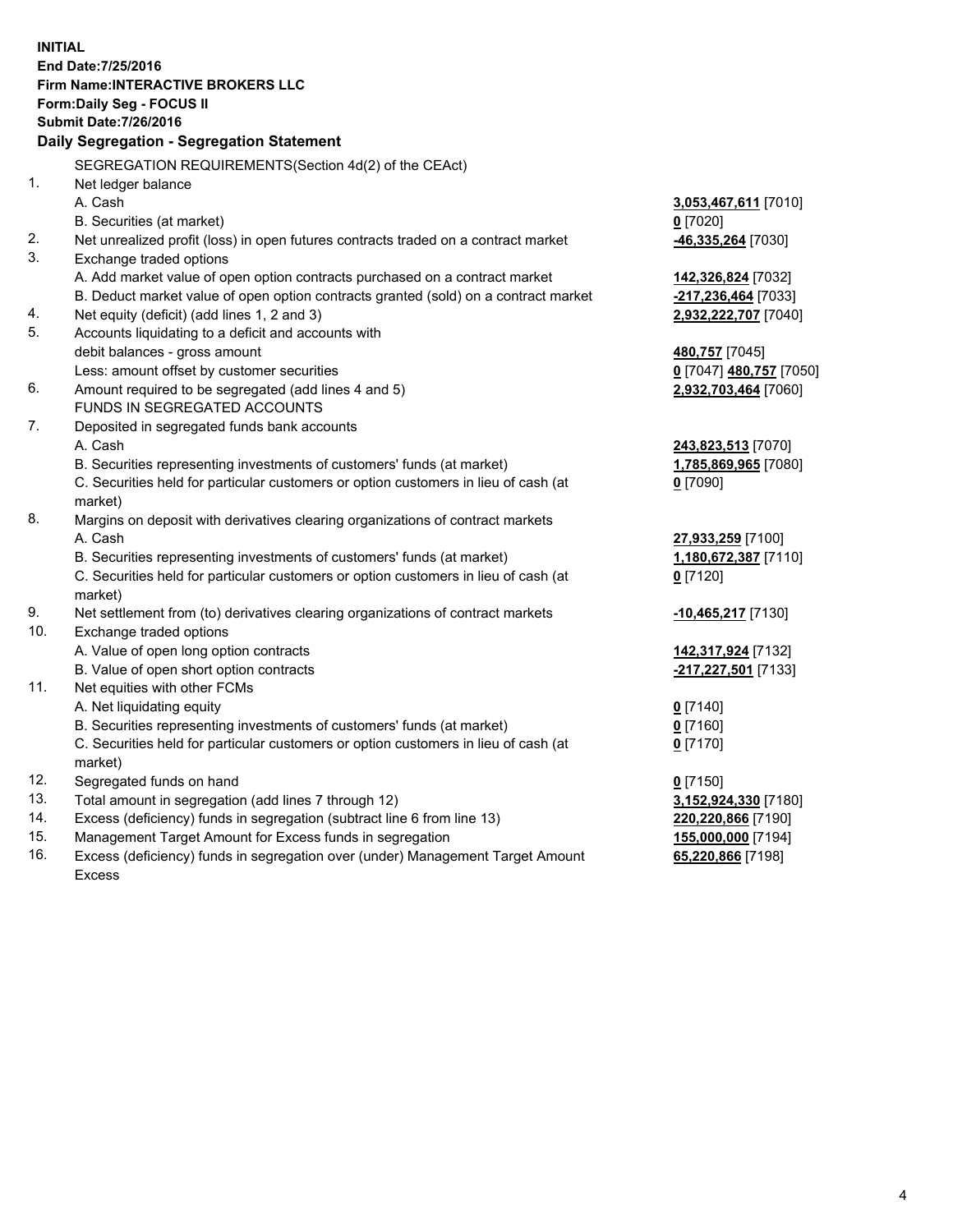**INITIAL End Date:7/25/2016 Firm Name:INTERACTIVE BROKERS LLC Form:Daily Seg - FOCUS II Submit Date:7/26/2016 Daily Segregation - Segregation Statement** SEGREGATION REQUIREMENTS(Section 4d(2) of the CEAct) 1. Net ledger balance A. Cash **3,053,467,611** [7010] B. Securities (at market) **0** [7020] 2. Net unrealized profit (loss) in open futures contracts traded on a contract market **-46,335,264** [7030] 3. Exchange traded options A. Add market value of open option contracts purchased on a contract market **142,326,824** [7032] B. Deduct market value of open option contracts granted (sold) on a contract market **-217,236,464** [7033] 4. Net equity (deficit) (add lines 1, 2 and 3) **2,932,222,707** [7040] 5. Accounts liquidating to a deficit and accounts with debit balances - gross amount **480,757** [7045] Less: amount offset by customer securities **0** [7047] **480,757** [7050] 6. Amount required to be segregated (add lines 4 and 5) **2,932,703,464** [7060] FUNDS IN SEGREGATED ACCOUNTS 7. Deposited in segregated funds bank accounts A. Cash **243,823,513** [7070] B. Securities representing investments of customers' funds (at market) **1,785,869,965** [7080] C. Securities held for particular customers or option customers in lieu of cash (at market) **0** [7090] 8. Margins on deposit with derivatives clearing organizations of contract markets A. Cash **27,933,259** [7100] B. Securities representing investments of customers' funds (at market) **1,180,672,387** [7110] C. Securities held for particular customers or option customers in lieu of cash (at market) **0** [7120] 9. Net settlement from (to) derivatives clearing organizations of contract markets **-10,465,217** [7130] 10. Exchange traded options A. Value of open long option contracts **142,317,924** [7132] B. Value of open short option contracts **-217,227,501** [7133] 11. Net equities with other FCMs A. Net liquidating equity **0** [7140] B. Securities representing investments of customers' funds (at market) **0** [7160] C. Securities held for particular customers or option customers in lieu of cash (at market) **0** [7170] 12. Segregated funds on hand **0** [7150] 13. Total amount in segregation (add lines 7 through 12) **3,152,924,330** [7180] 14. Excess (deficiency) funds in segregation (subtract line 6 from line 13) **220,220,866** [7190] 15. Management Target Amount for Excess funds in segregation **155,000,000** [7194]

16. Excess (deficiency) funds in segregation over (under) Management Target Amount Excess

**65,220,866** [7198]